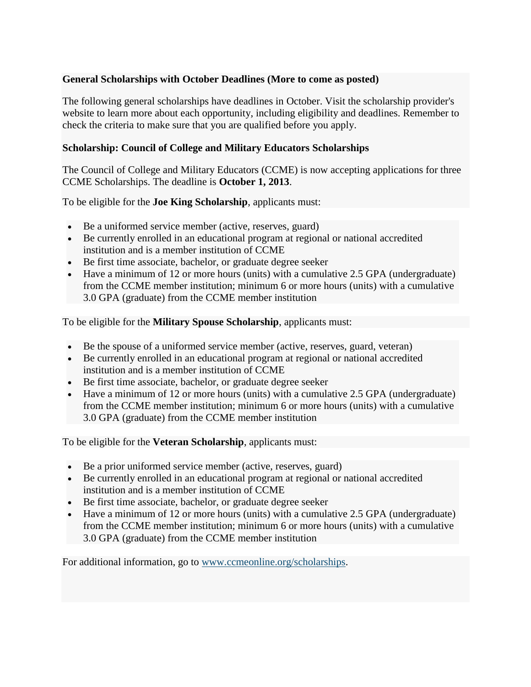## **General Scholarships with October Deadlines (More to come as posted)**

The following general scholarships have deadlines in October. Visit the scholarship provider's website to learn more about each opportunity, including eligibility and deadlines. Remember to check the criteria to make sure that you are qualified before you apply.

## **Scholarship: Council of College and Military Educators Scholarships**

The Council of College and Military Educators (CCME) is now accepting applications for three CCME Scholarships. The deadline is **October 1, 2013**.

To be eligible for the **Joe King Scholarship**, applicants must:

- Be a uniformed service member (active, reserves, guard)
- Be currently enrolled in an educational program at regional or national accredited institution and is a member institution of CCME
- Be first time associate, bachelor, or graduate degree seeker
- Have a minimum of 12 or more hours (units) with a cumulative 2.5 GPA (undergraduate) from the CCME member institution; minimum 6 or more hours (units) with a cumulative 3.0 GPA (graduate) from the CCME member institution

To be eligible for the **Military Spouse Scholarship**, applicants must:

- Be the spouse of a uniformed service member (active, reserves, guard, veteran)
- Be currently enrolled in an educational program at regional or national accredited institution and is a member institution of CCME
- Be first time associate, bachelor, or graduate degree seeker
- Have a minimum of 12 or more hours (units) with a cumulative 2.5 GPA (undergraduate) from the CCME member institution; minimum 6 or more hours (units) with a cumulative 3.0 GPA (graduate) from the CCME member institution

To be eligible for the **Veteran Scholarship**, applicants must:

- Be a prior uniformed service member (active, reserves, guard)
- Be currently enrolled in an educational program at regional or national accredited institution and is a member institution of CCME
- Be first time associate, bachelor, or graduate degree seeker
- Have a minimum of 12 or more hours (units) with a cumulative 2.5 GPA (undergraduate) from the CCME member institution; minimum 6 or more hours (units) with a cumulative 3.0 GPA (graduate) from the CCME member institution

For additional information, go to [www.ccmeonline.org/scholarships.](http://ccmeonline.org/scholarships)